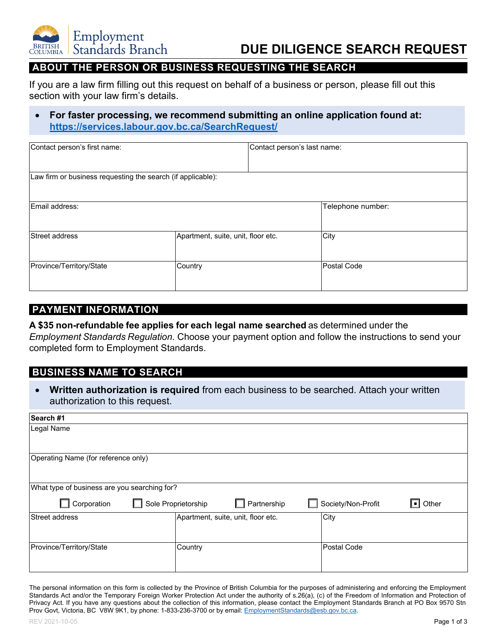

## **DUE DILIGENCE SEARCH REQUEST**

## **ABOUT THE PERSON OR BUSINESS REQUESTING THE SEARCH**

If you are a law firm filling out this request on behalf of a business or person, please fill out this section with your law firm's details.

#### • **For faster processing, we recommend submitting an online application found at: [https://services.labour.gov.bc.ca/SearchRequest/](https://services.labour.gov.bc.ca/SearchRequest/s/)**

| Contact person's first name:                                |                                    | Contact person's last name: |                    |
|-------------------------------------------------------------|------------------------------------|-----------------------------|--------------------|
| Law firm or business requesting the search (if applicable): |                                    |                             |                    |
| Email address:                                              |                                    |                             | Telephone number:  |
| Street address                                              | Apartment, suite, unit, floor etc. |                             | City               |
| Province/Territory/State                                    | Country                            |                             | <b>Postal Code</b> |

## **PAYMENT INFORMATION**

**A \$35 non-refundable fee applies for each legal name searched** as determined under the *Employment Standards Regulation*. Choose your payment option and follow the instructions to send your completed form to Employment Standards.

### **BUSINESS NAME TO SEARCH**

• **Written authorization is required** from each business to be searched. Attach your written authorization to this request.

| What type of business are you searching for? |                                                    |  |  |  |
|----------------------------------------------|----------------------------------------------------|--|--|--|
| Partnership                                  | Society/Non-Profit<br>$\boxed{\blacksquare}$ Other |  |  |  |
| Apartment, suite, unit, floor etc.           | City                                               |  |  |  |
|                                              |                                                    |  |  |  |
| Country                                      | Postal Code                                        |  |  |  |
|                                              |                                                    |  |  |  |
|                                              | Sole Proprietorship                                |  |  |  |

The personal information on this form is collected by the Province of British Columbia for the purposes of administering and enforcing the Employment Standards Act and/or the Temporary Foreign Worker Protection Act under the authority of s.26(a), (c) of the Freedom of Information and Protection of Privacy Act. If you have any questions about the collection of this information, please contact the Employment Standards Branch at PO Box 9570 Stn Prov Govt, Victoria, BC V8W 9K1, by phone: 1-833-236-3700 or by email: **EmploymentStandards@esb.gov.bc.ca.**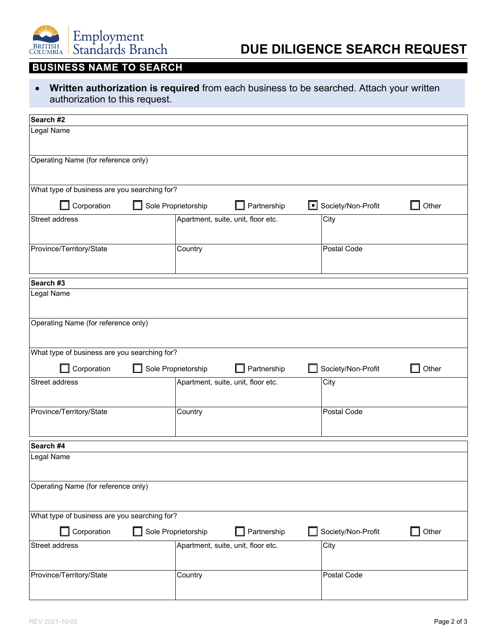

# **DUE DILIGENCE SEARCH REQUEST**

## **BUSINESS NAME TO SEARCH**

• **Written authorization is required** from each business to be searched. Attach your written authorization to this request.

| Search #2                                    |                                    |                    |       |
|----------------------------------------------|------------------------------------|--------------------|-------|
| Legal Name                                   |                                    |                    |       |
| Operating Name (for reference only)          |                                    |                    |       |
| What type of business are you searching for? |                                    |                    |       |
| Corporation                                  | Sole Proprietorship<br>Partnership | Society/Non-Profit | Other |
| <b>Street address</b>                        | Apartment, suite, unit, floor etc. | City               |       |
| Province/Territory/State                     | Country                            | Postal Code        |       |
| Search #3                                    |                                    |                    |       |
| Legal Name                                   |                                    |                    |       |
| Operating Name (for reference only)          |                                    |                    |       |
| What type of business are you searching for? |                                    |                    |       |
|                                              |                                    |                    |       |
| Corporation                                  | Sole Proprietorship<br>Partnership | Society/Non-Profit | Other |
| Street address                               | Apartment, suite, unit, floor etc. | City               |       |
| Province/Territory/State                     | Country                            | Postal Code        |       |
| Search #4                                    |                                    |                    |       |
| Legal Name                                   |                                    |                    |       |
| Operating Name (for reference only)          |                                    |                    |       |
| What type of business are you searching for? |                                    |                    |       |
| Corporation                                  | Sole Proprietorship<br>Partnership | Society/Non-Profit | Other |
| Street address                               | Apartment, suite, unit, floor etc. | City               |       |